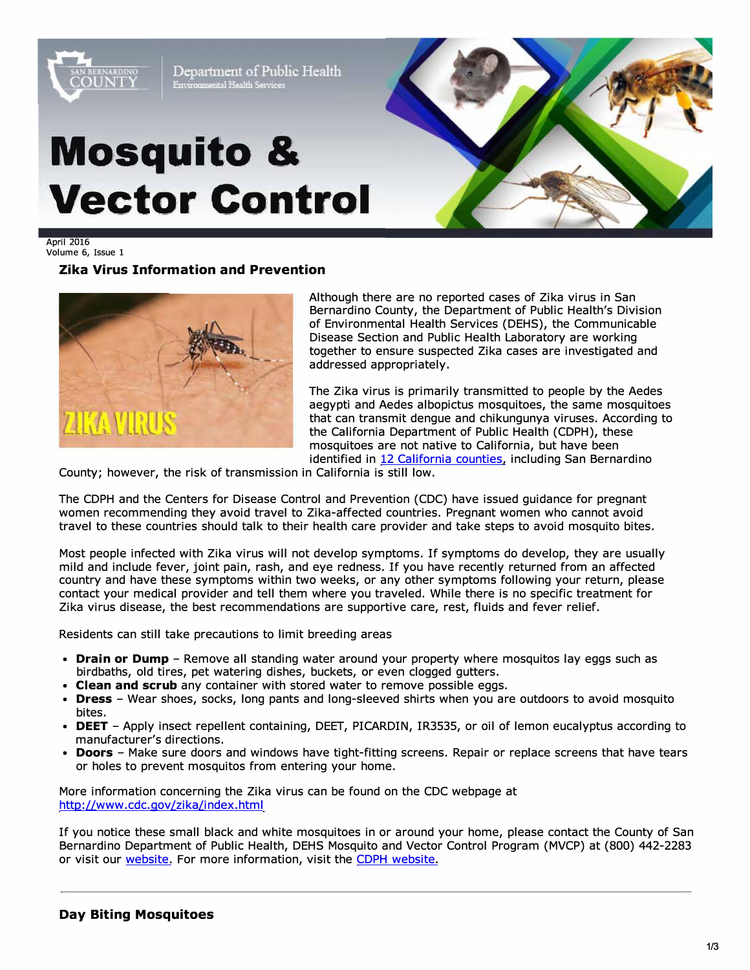

April 2016 Volume 6, Issue 1

# **Zika Virus Information and Prevention**



Although there are no reported cases of Zika virus in San Bernardino County, the Department of Public Health's Division of Environmental Health Services (DEHS), the Communicable Disease Section and Public Health Laboratory are working together to ensure suspected Zika cases are investigated and addressed appropriately.

The Zika virus is primarily transmitted to people by the Aedes aegypti and Aedes albopictus mosquitoes, the same mosquitoes **ARTIFICAN INTERNATION** that can transmit dengue and chikungunya viruses. According to the California Department of Public Health (CDPH), these mosquitoes are not native to California, but have been identified in [12 California counties,](http://www.cdph.ca.gov/HealthInfo/discond/Documents/AedesDistributionMap.pdf) including San Bernardino

County; however, the risk of transmission in California is still low.

The CDPH and the Centers for Disease Control and Prevention (CDC) have issued guidance for pregnant women recommending they avoid travel to Zika-affected countries. Pregnant women who cannot avoid travel to these countries should talk to their health care provider and take steps to avoid mosquito bites.

Most people infected with Zika virus will not develop symptoms. If symptoms do develop, they are usually mild and include fever, joint pain, rash, and eye redness. If you have recently returned from an affected country and have these symptoms within two weeks, or any other symptoms following your return, please contact your medical provider and tell them where you traveled. While there is no specific treatment for Zika virus disease, the best recommendations are supportive care, rest, fluids and fever relief.

Residents can still take precautions to limit breeding areas

- **Drain or Dump**  Remove all standing water around your property where mosquitos lay eggs such as birdbaths, old tires, pet watering dishes, buckets, or even clogged gutters.
- **Clean and scrub** any container with stored water to remove possible eggs.
- **Dress**  Wear shoes, socks, long pants and long-sleeved shirts when you are outdoors to avoid mosquito bites.
- **DEET**  Apply insect repellent containing, DEET, PICARDIN, IR3535, or oil of lemon eucalyptus according to manufacturer's directions.
- **Doors** Make sure doors and windows have tight-fitting screens. Repair or replace screens that have tears or holes to prevent mosquitos from entering your home.

More information concerning the Zika virus can be found on the CDC webpage at [http://www.cdc.gov/zika/index.html](https://www.cdc.gov/zika/index.html) 

If you notice these small black and white mosquitoes in or around your home, please contact the County of San Bernardino Department of Public Health, DEHS Mosquito and Vector Control Program (MVCP) at (800) 442-2283 or visit our [website.](http://www.sbcounty.gov/dph/dehs/Depts/VectorControl/mosquito_and_vector_control_home.aspx) For more information, visit the [CDPH website.](http://www.cdph.ca.gov/HealthInfo/discond/Pages/Aedes-albopictus-and-Aedes-aegypti-Mosquitoes.aspx)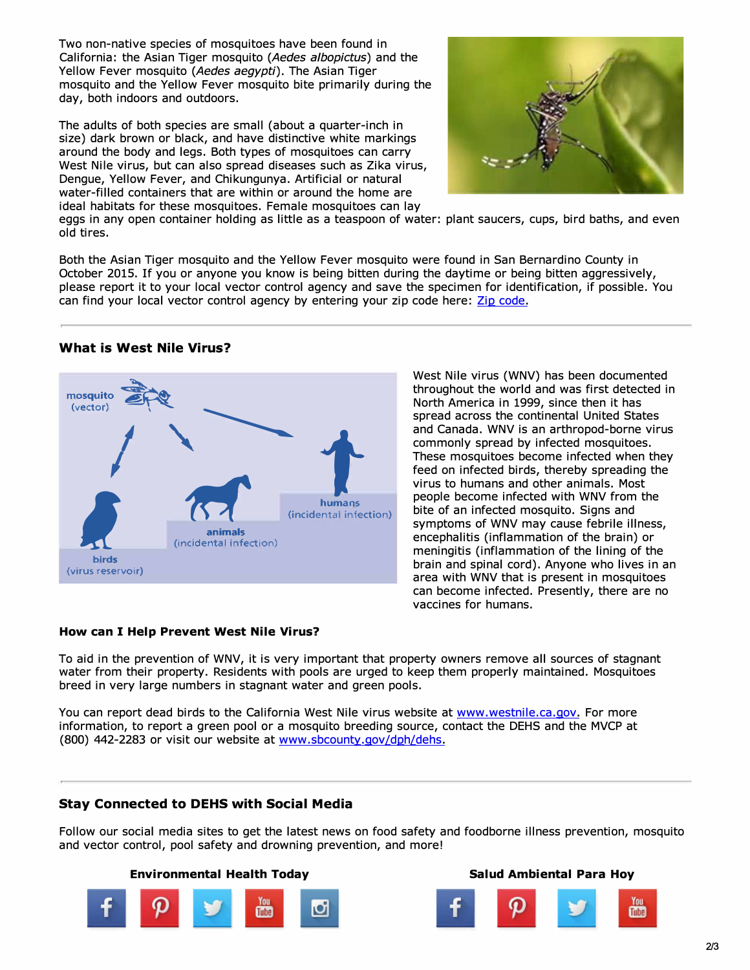Two non-native species of mosquitoes have been found in California: the Asian Tiger mosquito *(Aedes a/bopictus)* and the Yellow Fever mosquito *(Aedes aegypti).* The Asian Tiger mosquito and the Yellow Fever mosquito bite primarily during the day, both indoors and outdoors.

The adults of both species are small (about a quarter-inch in size) dark brown or black, and have distinctive white markings around the body and legs. Both types of mosquitoes can carry West Nile virus, but can also spread diseases such as Zika virus, Dengue, Yellow Fever, and Chikungunya. Artificial or natural water-filled containers that are within or around the home are ideal habitats for these mosquitoes. Female mosquitoes can lay



eggs in any open container holding as little as a teaspoon of water: plant saucers, cups, bird baths, and even old tires.

Both the Asian Tiger mosquito and the Yellow Fever mosquito were found in San Bernardino County in October 2015. If you or anyone you know is being bitten during the daytime or being bitten aggressively, please report it to your local vector control agency and save the specimen for identification, if possible. You can find your local vector control agency by entering your zip code here: [Zip code.](http://westnile.ca.gov/ziplocator.php)

### **What is West Nile Virus?**



West Nile virus (WNV) has been documented throughout the world and was first detected in North America in 1999, since then it has spread across the continental United States and Canada. WNV is an arthropod-borne virus commonly spread by infected mosquitoes. These mosquitoes become infected when they feed on infected birds, thereby spreading the virus to humans and other animals. Most people become infected with WNV from the bite of an infected mosquito. Signs and symptoms of WNV may cause febrile illness, encephalitis (inflammation of the brain) or meningitis (inflammation of the lining of the brain and spinal cord). Anyone who lives in an area with WNV that is present in mosquitoes can become infected. Presently, there are no vaccines for humans.

#### **How can I Help Prevent West Nile Virus?**

To aid in the prevention of WNV, it is very important that property owners remove all sources of stagnant water from their property. Residents with pools are urged to keep them properly maintained. Mosquitoes breed in very large numbers in stagnant water and green pools.

You can report dead birds to the California West Nile virus website at [www.westnile.ca.gov.](http://www.westnile.ca.gov/) For more information, to report a green pool or a mosquito breeding source, contact the DEHS and the MVCP at (800) 442-2283 or visit our website at [www.sbcounty.gov/dph/dehs.](http://www.sbcounty.gov/dph/dehs/)

#### **Stay Connected to DEHS with Social Media**

Follow our social media sites to get the latest news on food safety and foodborne illness prevention, mosquito and vector control, pool safety and drowning prevention, and more!

## **Environmental Health Today Salud Ambiental Para Hoy**